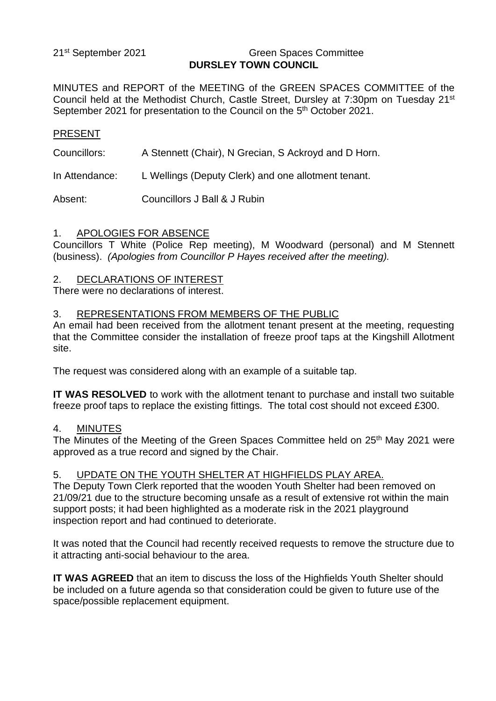21<sup>st</sup> September 2021

#### **Green Spaces Committee DURSLEY TOWN COUNCIL**

MINUTES and REPORT of the MEETING of the GREEN SPACES COMMITTEE of the Council held at the Methodist Church, Castle Street, Dursley at 7:30pm on Tuesday 21<sup>st</sup> September 2021 for presentation to the Council on the 5<sup>th</sup> October 2021.

#### PRESENT

Councillors: A Stennett (Chair), N Grecian, S Ackroyd and D Horn.

In Attendance: L Wellings (Deputy Clerk) and one allotment tenant.

Absent: Councillors J Ball & J Rubin

#### 1. APOLOGIES FOR ABSENCE

Councillors T White (Police Rep meeting), M Woodward (personal) and M Stennett (business). *(Apologies from Councillor P Hayes received after the meeting).*

#### 2. DECLARATIONS OF INTEREST

There were no declarations of interest.

## 3. REPRESENTATIONS FROM MEMBERS OF THE PUBLIC

An email had been received from the allotment tenant present at the meeting, requesting that the Committee consider the installation of freeze proof taps at the Kingshill Allotment site.

The request was considered along with an example of a suitable tap.

**IT WAS RESOLVED** to work with the allotment tenant to purchase and install two suitable freeze proof taps to replace the existing fittings. The total cost should not exceed £300.

#### 4. MINUTES

The Minutes of the Meeting of the Green Spaces Committee held on 25<sup>th</sup> May 2021 were approved as a true record and signed by the Chair.

## 5. UPDATE ON THE YOUTH SHELTER AT HIGHFIELDS PLAY AREA.

The Deputy Town Clerk reported that the wooden Youth Shelter had been removed on 21/09/21 due to the structure becoming unsafe as a result of extensive rot within the main support posts; it had been highlighted as a moderate risk in the 2021 playground inspection report and had continued to deteriorate.

It was noted that the Council had recently received requests to remove the structure due to it attracting anti-social behaviour to the area.

**IT WAS AGREED** that an item to discuss the loss of the Highfields Youth Shelter should be included on a future agenda so that consideration could be given to future use of the space/possible replacement equipment.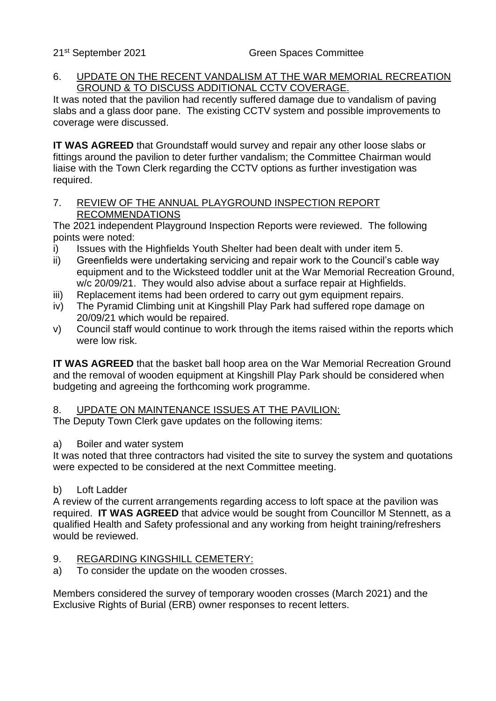#### 6. UPDATE ON THE RECENT VANDALISM AT THE WAR MEMORIAL RECREATION GROUND & TO DISCUSS ADDITIONAL CCTV COVERAGE.

It was noted that the pavilion had recently suffered damage due to vandalism of paving slabs and a glass door pane. The existing CCTV system and possible improvements to coverage were discussed.

**IT WAS AGREED** that Groundstaff would survey and repair any other loose slabs or fittings around the pavilion to deter further vandalism; the Committee Chairman would liaise with the Town Clerk regarding the CCTV options as further investigation was required.

# 7. REVIEW OF THE ANNUAL PLAYGROUND INSPECTION REPORT RECOMMENDATIONS

The 2021 independent Playground Inspection Reports were reviewed. The following points were noted:

- i) Issues with the Highfields Youth Shelter had been dealt with under item 5.
- ii) Greenfields were undertaking servicing and repair work to the Council's cable way equipment and to the Wicksteed toddler unit at the War Memorial Recreation Ground, w/c 20/09/21. They would also advise about a surface repair at Highfields.
- iii) Replacement items had been ordered to carry out gym equipment repairs.
- iv) The Pyramid Climbing unit at Kingshill Play Park had suffered rope damage on 20/09/21 which would be repaired.
- v) Council staff would continue to work through the items raised within the reports which were low risk.

**IT WAS AGREED** that the basket ball hoop area on the War Memorial Recreation Ground and the removal of wooden equipment at Kingshill Play Park should be considered when budgeting and agreeing the forthcoming work programme.

# 8. UPDATE ON MAINTENANCE ISSUES AT THE PAVILION:

The Deputy Town Clerk gave updates on the following items:

## a) Boiler and water system

It was noted that three contractors had visited the site to survey the system and quotations were expected to be considered at the next Committee meeting.

## b) Loft Ladder

A review of the current arrangements regarding access to loft space at the pavilion was required. **IT WAS AGREED** that advice would be sought from Councillor M Stennett, as a qualified Health and Safety professional and any working from height training/refreshers would be reviewed.

## 9. REGARDING KINGSHILL CEMETERY:

a) To consider the update on the wooden crosses.

Members considered the survey of temporary wooden crosses (March 2021) and the Exclusive Rights of Burial (ERB) owner responses to recent letters.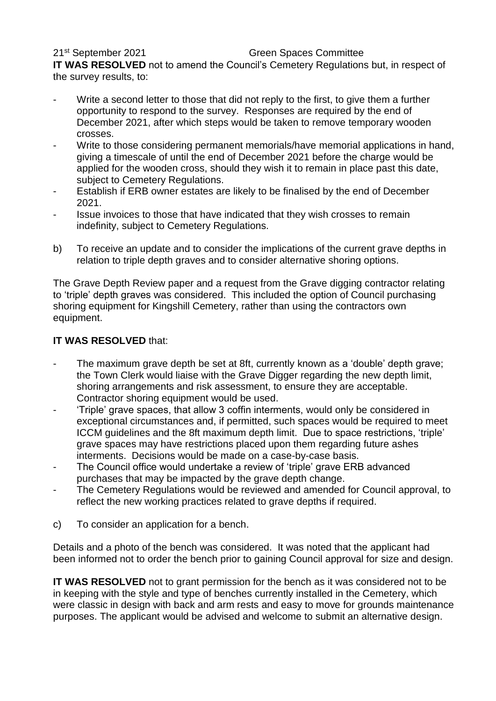# 21<sup>st</sup> September 2021

#### **Green Spaces Committee**

**IT WAS RESOLVED** not to amend the Council's Cemetery Regulations but, in respect of the survey results, to:

- Write a second letter to those that did not reply to the first, to give them a further opportunity to respond to the survey. Responses are required by the end of December 2021, after which steps would be taken to remove temporary wooden crosses.
- Write to those considering permanent memorials/have memorial applications in hand, giving a timescale of until the end of December 2021 before the charge would be applied for the wooden cross, should they wish it to remain in place past this date, subject to Cemetery Regulations.
- Establish if ERB owner estates are likely to be finalised by the end of December 2021.
- Issue invoices to those that have indicated that they wish crosses to remain indefinity, subject to Cemetery Regulations.
- b) To receive an update and to consider the implications of the current grave depths in relation to triple depth graves and to consider alternative shoring options.

The Grave Depth Review paper and a request from the Grave digging contractor relating to 'triple' depth graves was considered. This included the option of Council purchasing shoring equipment for Kingshill Cemetery, rather than using the contractors own equipment.

# **IT WAS RESOLVED** that:

- The maximum grave depth be set at 8ft, currently known as a 'double' depth grave; the Town Clerk would liaise with the Grave Digger regarding the new depth limit, shoring arrangements and risk assessment, to ensure they are acceptable. Contractor shoring equipment would be used.
- 'Triple' grave spaces, that allow 3 coffin interments, would only be considered in exceptional circumstances and, if permitted, such spaces would be required to meet ICCM guidelines and the 8ft maximum depth limit. Due to space restrictions, 'triple' grave spaces may have restrictions placed upon them regarding future ashes interments. Decisions would be made on a case-by-case basis.
- The Council office would undertake a review of 'triple' grave ERB advanced purchases that may be impacted by the grave depth change.
- The Cemetery Regulations would be reviewed and amended for Council approval, to reflect the new working practices related to grave depths if required.
- c) To consider an application for a bench.

Details and a photo of the bench was considered. It was noted that the applicant had been informed not to order the bench prior to gaining Council approval for size and design.

**IT WAS RESOLVED** not to grant permission for the bench as it was considered not to be in keeping with the style and type of benches currently installed in the Cemetery, which were classic in design with back and arm rests and easy to move for grounds maintenance purposes. The applicant would be advised and welcome to submit an alternative design.